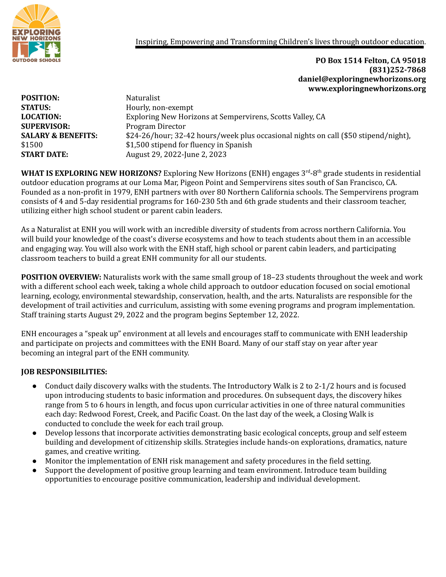

Inspiring, Empowering and Transforming Children's lives through outdoor education.

**PO Box 1514 Felton, CA 95018 (831)252-7868 daniel@exploringnewhorizons.org www.exploringnewhorizons.org**

| <b>POSITION:</b>              | Naturalist                                                                          |
|-------------------------------|-------------------------------------------------------------------------------------|
| <b>STATUS:</b>                | Hourly, non-exempt                                                                  |
| <b>LOCATION:</b>              | Exploring New Horizons at Sempervirens, Scotts Valley, CA                           |
| <b>SUPERVISOR:</b>            | Program Director                                                                    |
| <b>SALARY &amp; BENEFITS:</b> | \$24-26/hour; 32-42 hours/week plus occasional nights on call (\$50 stipend/night), |
| \$1500                        | \$1,500 stipend for fluency in Spanish                                              |
| <b>START DATE:</b>            | August 29, 2022-June 2, 2023                                                        |
|                               |                                                                                     |

WHAT IS EXPLORING NEW HORIZONS? Exploring New Horizons (ENH) engages 3<sup>rd</sup>-8<sup>th</sup> grade students in residential outdoor education programs at our Loma Mar, Pigeon Point and Sempervirens sites south of San Francisco, CA. Founded as a non-profit in 1979, ENH partners with over 80 Northern California schools. The Sempervirens program consists of 4 and 5-day residential programs for 160-230 5th and 6th grade students and their classroom teacher, utilizing either high school student or parent cabin leaders.

As a Naturalist at ENH you will work with an incredible diversity of students from across northern California. You will build your knowledge of the coast's diverse ecosystems and how to teach students about them in an accessible and engaging way. You will also work with the ENH staff, high school or parent cabin leaders, and participating classroom teachers to build a great ENH community for all our students.

**POSITION OVERVIEW:** Naturalists work with the same small group of 18–23 students throughout the week and work with a different school each week, taking a whole child approach to outdoor education focused on social emotional learning, ecology, environmental stewardship, conservation, health, and the arts. Naturalists are responsible for the development of trail activities and curriculum, assisting with some evening programs and program implementation. Staff training starts August 29, 2022 and the program begins September 12, 2022.

ENH encourages a "speak up" environment at all levels and encourages staff to communicate with ENH leadership and participate on projects and committees with the ENH Board. Many of our staff stay on year after year becoming an integral part of the ENH community.

## **JOB RESPONSIBILITIES:**

- Conduct daily discovery walks with the students. The Introductory Walk is 2 to 2-1/2 hours and is focused upon introducing students to basic information and procedures. On subsequent days, the discovery hikes range from 5 to 6 hours in length, and focus upon curricular activities in one of three natural communities each day: Redwood Forest, Creek, and Pacific Coast. On the last day of the week, a Closing Walk is conducted to conclude the week for each trail group.
- Develop lessons that incorporate activities demonstrating basic ecological concepts, group and self esteem building and development of citizenship skills. Strategies include hands-on explorations, dramatics, nature games, and creative writing.
- Monitor the implementation of ENH risk management and safety procedures in the field setting.
- Support the development of positive group learning and team environment. Introduce team building opportunities to encourage positive communication, leadership and individual development.